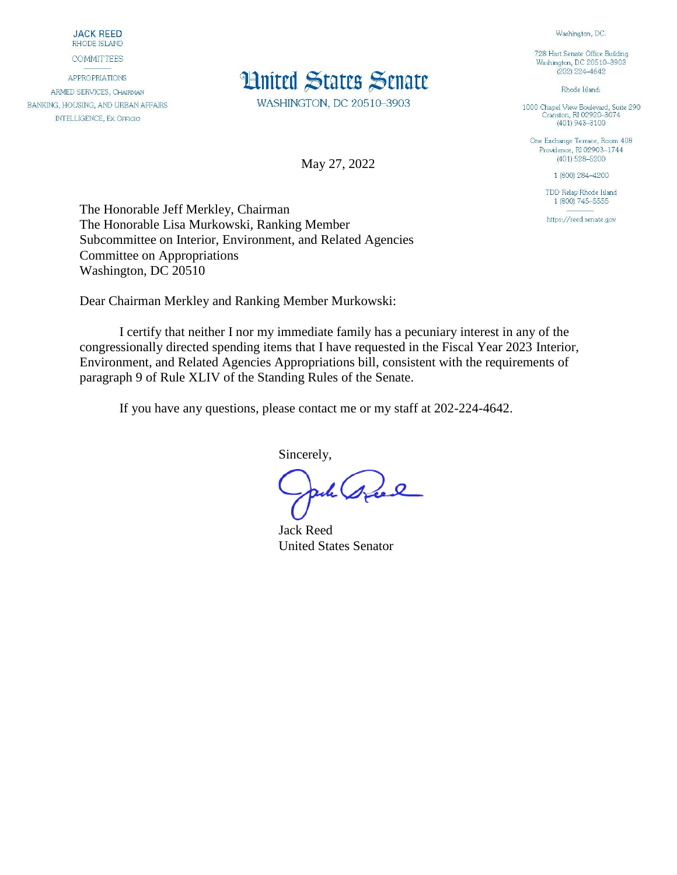**JACK REED** RHODE ISLAND

**COMMITTEES** 

**APPROPRIATIONS** ARMED SERVICES, CHAIRMAN BANKING, HOUSING, AND URBAN AFFAIRS **INTELLIGENCE, EX OFFICIO** 



WASHINGTON, DC 20510-3903

May 27, 2022

728 Hart Senate Office Building Washington, DC 20510-3903  $(202)$  224-4642

Washington, DC:

Rhode Island:

1000 Chapel View Boulevard, Suite 290<br>Cranston, RI 02920-3074  $(401)$  943-3100

One Exchange Terrace, Room 408 Providence, RI 02903-1744  $(401)$  528-5200

1 (800) 284-4200

TDD Relay Rhode Island 1 (800) 745-5555

https://reed.senate.gov

The Honorable Jeff Merkley, Chairman The Honorable Lisa Murkowski, Ranking Member Subcommittee on Interior, Environment, and Related Agencies Committee on Appropriations Washington, DC 20510

Dear Chairman Merkley and Ranking Member Murkowski:

I certify that neither I nor my immediate family has a pecuniary interest in any of the congressionally directed spending items that I have requested in the Fiscal Year 2023 Interior, Environment, and Related Agencies Appropriations bill, consistent with the requirements of paragraph 9 of Rule XLIV of the Standing Rules of the Senate.

If you have any questions, please contact me or my staff at 202-224-4642.

Sincerely,

ack sul

Jack Reed United States Senator